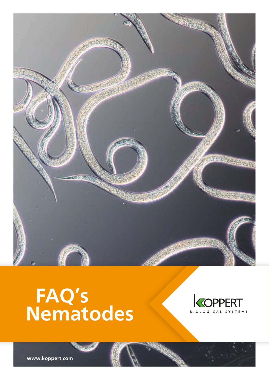

# **FAQ's Nematodes**



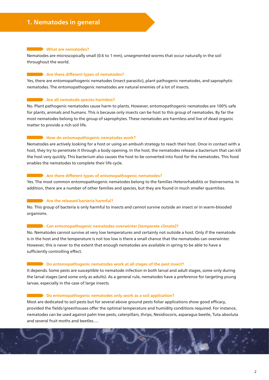#### **What are nematodes?**

Nematodes are microscopically small (0.6 to 1 mm), unsegmented worms that occur naturally in the soil throughout the world.

#### **Example 2** Are there different types of nematodes?

Yes, there are entomopathogenic nematodes (insect parasitic), plant pathogenic nematodes, and saprophytic nematodes. The entomopathogenic nematodes are natural enemies of a lot of insects.

#### **Are all nematode species harmless?**

No. Plant pathogenic nematodes cause harm to plants. However, entomopathogenic nematodes are 100% safe for plants, animals and humans. This is because only insects can be host to this group of nematodes. By far the most nematodes belong to the group of saprophytes. These nematodes are harmless and live of dead organic matter to provide a rich soil life.

#### **How do entomopathogenic nematodes work?**

Nematodes are actively looking for a host or using an ambush strategy to reach their host. Once in contact with a host, they try to penetrate it through a body opening. In the host, the nematodes release a bacterium that can kill the host very quickly. This bacterium also causes the host to be converted into food for the nematodes. This food enables the nematodes to complete their life cycle.

#### **Are there different types of entomopathogenic nematodes?**

Yes. The most common entomopathogenic nematodes belong to the families Heterorhabditis or Steinernema. In addition, there are a number of other families and species, but they are found in much smaller quantities.

#### **Are the released bacteria harmful?**

No. This group of bacteria is only harmful to insects and cannot survive outside an insect or in warm-blooded organisms.

#### **Can entomopathogenic nematodes overwinter (temperate climate)?**

No. Nematodes cannot survive at very low temperatures and certainly not outside a host. Only if the nematode is in the host and the temperature is not too low is there a small chance that the nematodes can overwinter. However, this is never to the extent that enough nematodes are available in spring to be able to have a sufficiently controlling effect.

#### **Do entomopathogenic nematodes work at all stages of the pest insect?**

It depends. Some pests are susceptible to nematode infection in both larval and adult stages, some only during the larval stages (and some only as adults). As a general rule, nematodes have a preference for targeting young larvae, especially in the case of large insects.

#### **Do entomopathogenic nematodes only work as a soil application?**

Most are dedicated to soil pests but for several above ground pests foliar applications show good efficacy, provided the fields/greenhouses offer the optimal temperature and humidity conditions required. For instance, nematodes can be used against palm tree pests, caterpillars, thrips, Nesidiocoris, asparagus beetle, Tuta absoluta and several fruit moths and beetles….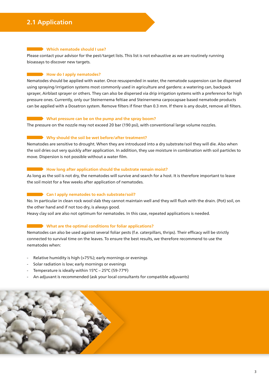## **2.1 Application**

#### **EXECUTE:** Which nematode should I use?

Please contact your advisor for the pest/target lists. This list is not exhaustive as we are routinely running bioassays to discover new targets.

#### **Example 2** How do I apply nematodes?

Nematodes should be applied with water. Once resuspended in water, the nematode suspension can be dispersed using spraying/irrigation systems most commonly used in agriculture and gardens: a watering can, backpack sprayer, Airblast sprayer or others. They can also be dispersed via drip irrigation systems with a preference for high pressure ones. Currently, only our Steinernema feltiae and Steinernema carpocapsae based nematode products can be applied with a Dosatron system. Remove filters if finer than 0.3 mm. If there is any doubt, remove all filters.

#### **What pressure can be on the pump and the spray boom?**

The pressure on the nozzle may not exceed 20 bar (190 psi), with conventional large volume nozzles.

#### **Why should the soil be wet before/after treatment?**

Nematodes are sensitive to drought. When they are introduced into a dry substrate/soil they will die. Also when the soil dries out very quickly after application. In addition, they use moisture in combination with soil particles to move. Dispersion is not possible without a water film.

#### **How long after application should the substrate remain moist?**

As long as the soil is not dry, the nematodes will survive and search for a host. It is therefore important to leave the soil moist for a few weeks after application of nematodes.

#### **Can I apply nematodes to each substrate/soil?**

No. In particular in clean rock wool slab they cannot maintain well and they will flush with the drain. (Pot) soil, on the other hand and if not too dry, is always good.

Heavy clay soil are also not optimum for nematodes. In this case, repeated applications is needed.

#### **What are the optimal conditions for foliar applications?**

Nematodes can also be used against several foliar pests (f.e. caterpillars, thrips). Their efficacy will be strictly connected to survival time on the leaves. To ensure the best results, we therefore recommend to use the nematodes when:

- Relative humidity is high (>75%); early mornings or evenings
- Solar radiation is low; early mornings or evenings
- Temperature is ideally within 15°C 25°C (59-77°F)
- An adjuvant is recommended (ask your local consultants for compatible adjuvants)

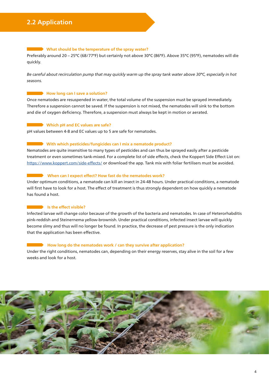#### What should be the temperature of the spray water?

Preferably around 20 – 25°C (68/77°F) but certainly not above 30°C (86°F). Above 35°C (95°F), nematodes will die quickly.

*Be careful about recirculation pump that may quickly warm up the spray tank water above 30°C, especially in hot seasons.*

#### **How long can I save a solution?**

Once nematodes are resuspended in water, the total volume of the suspension must be sprayed immediately. Therefore a suspension cannot be saved. If the suspension is not mixed, the nematodes will sink to the bottom and die of oxygen deficiency. Therefore, a suspension must always be kept in motion or aerated.

#### **Which pH and EC values are safe?**

pH values between 4-8 and EC values up to 5 are safe for nematodes.

#### **With which pesticides/fungicides can I mix a nematode product?**

Nematodes are quite insensitive to many types of pesticides and can thus be sprayed easily after a pesticide treatment or even sometimes tank-mixed. For a complete list of side effects, check the Koppert Side Effect List on: https://www.koppert.com/side-effects/ or download the app. Tank mix with foliar fertilisers must be avoided.

#### When can I expect effect? How fast do the nematodes work?

Under optimum conditions, a nematode can kill an insect in 24-48 hours. Under practical conditions, a nematode will first have to look for a host. The effect of treatment is thus strongly dependent on how quickly a nematode has found a host.

#### **Is the effect visible?**

Infected larvae will change color because of the growth of the bacteria and nematodes. In case of Heterorhabditis pink-reddish and Steinernema yellow-brownish. Under practical conditions, infected insect larvae will quickly become slimy and thus will no longer be found. In practice, the decrease of pest pressure is the only indication that the application has been effective.

#### **How long do the nematodes work / can they survive after application?**

Under the right conditions, nematodes can, depending on their energy reserves, stay alive in the soil for a few weeks and look for a host.

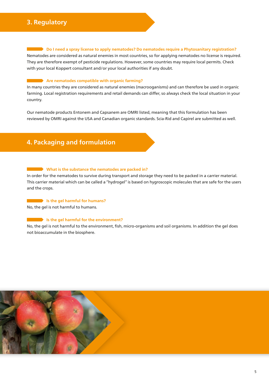### **3. Regulatory**

**Do I need a spray license to apply nematodes? Do nematodes require a Phytosanitary registration?** 

Nematodes are considered as natural enemies in most countries, so for applying nematodes no license is required. They are therefore exempt of pesticide regulations. However, some countries may require local permits. Check with your local Koppert consultant and/or your local authorities if any doubt.

#### **Are nematodes compatible with organic farming?**

In many countries they are considered as natural enemies (macrooganisms) and can therefore be used in organic farming. Local registration requirements and retail demands can differ, so always check the local situation in your country.

Our nematode products Entonem and Capsanem are OMRI listed, meaning that this formulation has been reviewed by OMRI against the USA and Canadian organic standards. Scia-Rid and Capirel are submitted as well.

# **4. Packaging and formulation**

#### **What is the substance the nematodes are packed in?**

In order for the nematodes to survive during transport and storage they need to be packed in a carrier material. This carrier material which can be called a "hydrogel" is based on hygroscopic molecules that are safe for the users and the crops.

#### **Is the gel harmful for humans?**

No, the gel is not harmful to humans.

#### **IS the gel harmful for the environment?**

No, the gel is not harmful to the environment, fish, micro-organisms and soil organisms. In addition the gel does not bioaccumulate in the biosphere.